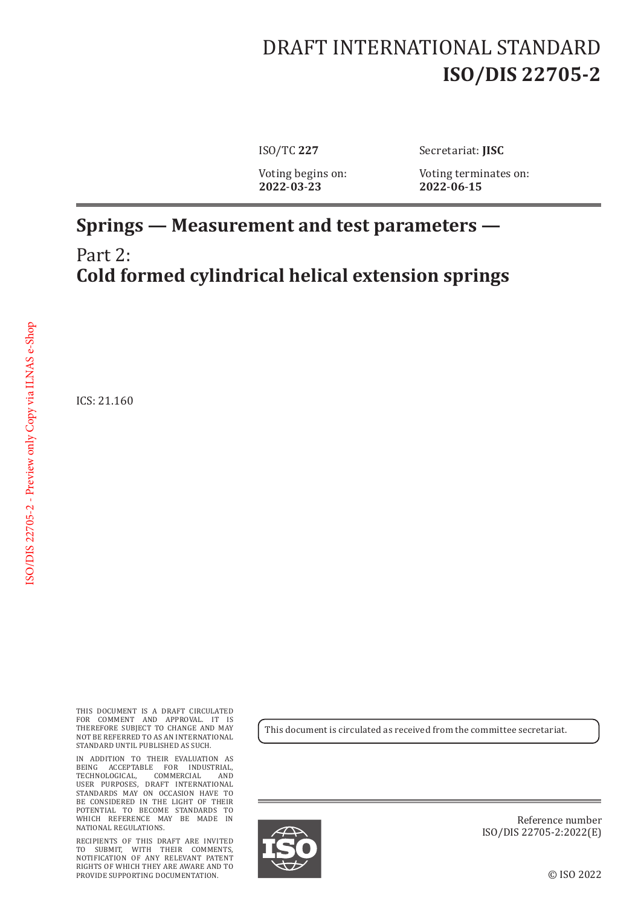## DRAFT INTERNATIONAL STANDARD **ISO/DIS 22705-2**

ISO/TC **227** Secretariat: **JISC**

Voting begins on: Voting terminates on:<br>2022-03-23 2022-06-15 **2022**-**03**-**23 2022**-**06**-**15**

## **Springs — Measurement and test parameters —** Part 2: **Cold formed cylindrical helical extension springs**

ICS: 21.160

THIS DOCUMENT IS A DRAFT CIRCULATED FOR COMMENT AND APPROVAL. IT IS THEREFORE SUBJECT TO CHANGE AND MAY NOT BE REFERRED TO AS AN INTERNATIONAL STANDARD UNTIL PUBLISHED AS SUCH.

IN ADDITION TO THEIR EVALUATION AS BEING ACCEPTABLE FOR INDUSTRIAL, TECHNOLOGICAL, COMMERCIAL AND USER PURPOSES, DRAFT INTERNATIONAL STANDARDS MAY ON OCCASION HAVE TO BE CONSIDERED IN THE LIGHT OF THEIR POTENTIAL TO BECOME STANDARDS TO WHICH REFERENCE MAY BE MADE IN NATIONAL REGULATIONS.

RECIPIENTS OF THIS DRAFT ARE INVITED TO SUBMIT, WITH THEIR COMMENTS, NOTIFICATION OF ANY RELEVANT PATENT RIGHTS OF WHICH THEY ARE AWARE AND TO PROVIDE SUPPORTING DOCUMENTATION.

This document is circulated as received from the committee secretariat.



Reference number ISO/DIS 22705-2:2022(E)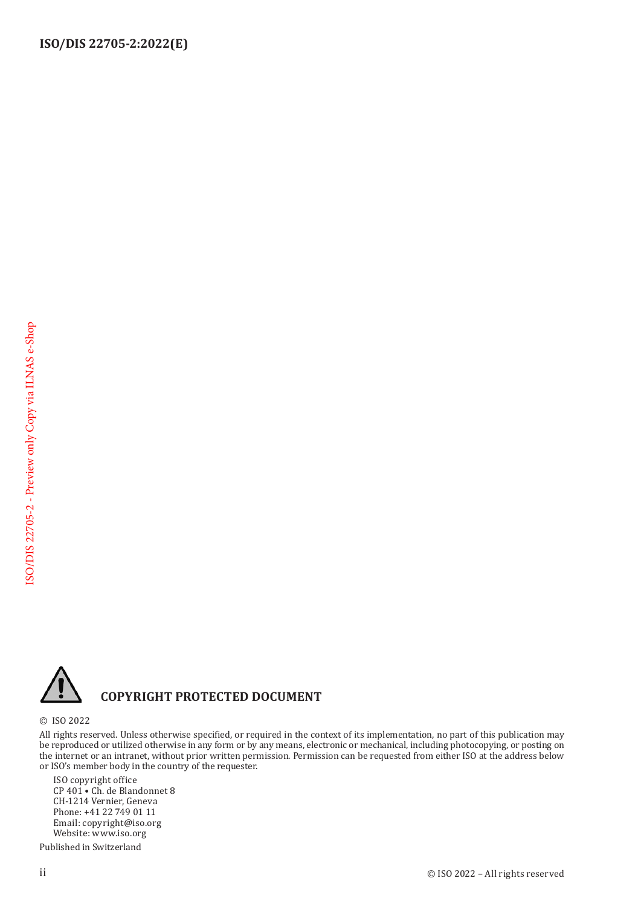

## **COPYRIGHT PROTECTED DOCUMENT**

© ISO 2022

All rights reserved. Unless otherwise specified, or required in the context of its implementation, no part of this publication may be reproduced or utilized otherwise in any form or by any means, electronic or mechanical, including photocopying, or posting on the internet or an intranet, without prior written permission. Permission can be requested from either ISO at the address below or ISO's member body in the country of the requester.

ISO copyright office CP 401 • Ch. de Blandonnet 8 CH-1214 Vernier, Geneva Phone: +41 22 749 01 11 Email: copyright@iso.org Website: www.iso.org

Published in Switzerland